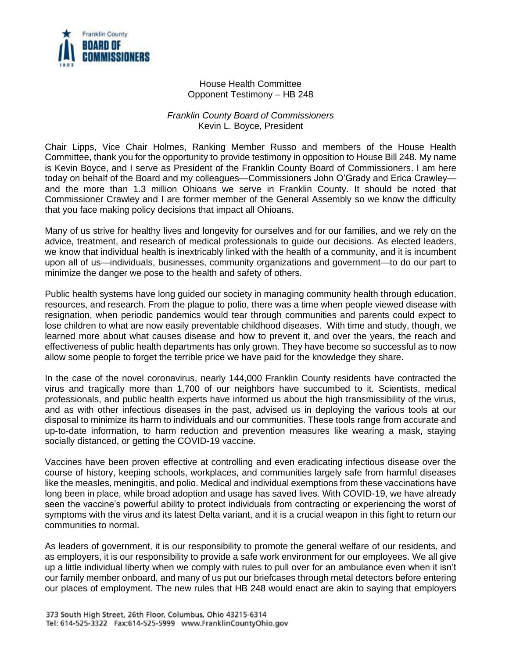

## House Health Committee Opponent Testimony – HB 248

## *Franklin County Board of Commissioners* Kevin L. Boyce, President

Chair Lipps, Vice Chair Holmes, Ranking Member Russo and members of the House Health Committee, thank you for the opportunity to provide testimony in opposition to House Bill 248. My name is Kevin Boyce, and I serve as President of the Franklin County Board of Commissioners. I am here today on behalf of the Board and my colleagues—Commissioners John O'Grady and Erica Crawley and the more than 1.3 million Ohioans we serve in Franklin County. It should be noted that Commissioner Crawley and I are former member of the General Assembly so we know the difficulty that you face making policy decisions that impact all Ohioans.

Many of us strive for healthy lives and longevity for ourselves and for our families, and we rely on the advice, treatment, and research of medical professionals to guide our decisions. As elected leaders, we know that individual health is inextricably linked with the health of a community, and it is incumbent upon all of us—individuals, businesses, community organizations and government—to do our part to minimize the danger we pose to the health and safety of others.

Public health systems have long guided our society in managing community health through education, resources, and research. From the plague to polio, there was a time when people viewed disease with resignation, when periodic pandemics would tear through communities and parents could expect to lose children to what are now easily preventable childhood diseases. With time and study, though, we learned more about what causes disease and how to prevent it, and over the years, the reach and effectiveness of public health departments has only grown. They have become so successful as to now allow some people to forget the terrible price we have paid for the knowledge they share.

In the case of the novel coronavirus, nearly 144,000 Franklin County residents have contracted the virus and tragically more than 1,700 of our neighbors have succumbed to it. Scientists, medical professionals, and public health experts have informed us about the high transmissibility of the virus, and as with other infectious diseases in the past, advised us in deploying the various tools at our disposal to minimize its harm to individuals and our communities. These tools range from accurate and up-to-date information, to harm reduction and prevention measures like wearing a mask, staying socially distanced, or getting the COVID-19 vaccine.

Vaccines have been proven effective at controlling and even eradicating infectious disease over the course of history, keeping schools, workplaces, and communities largely safe from harmful diseases like the measles, meningitis, and polio. Medical and individual exemptions from these vaccinations have long been in place, while broad adoption and usage has saved lives. With COVID-19, we have already seen the vaccine's powerful ability to protect individuals from contracting or experiencing the worst of symptoms with the virus and its latest Delta variant, and it is a crucial weapon in this fight to return our communities to normal.

As leaders of government, it is our responsibility to promote the general welfare of our residents, and as employers, it is our responsibility to provide a safe work environment for our employees. We all give up a little individual liberty when we comply with rules to pull over for an ambulance even when it isn't our family member onboard, and many of us put our briefcases through metal detectors before entering our places of employment. The new rules that HB 248 would enact are akin to saying that employers